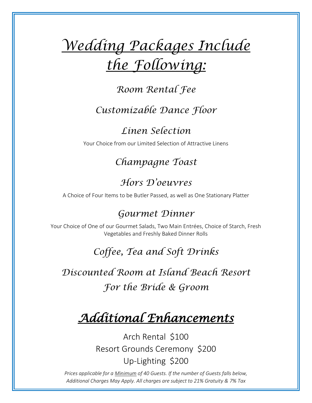# *Wedding Packages Include the Following:*

## *Room Rental Fee*

# *Customizable Dance Floor*

*Linen Selection*

Your Choice from our Limited Selection of Attractive Linens

*Champagne Toast*

# *Hors D'oeuvres*

A Choice of Four Items to be Butler Passed, as well as One Stationary Platter

## *Gourmet Dinner*

Your Choice of One of our Gourmet Salads, Two Main Entrées, Choice of Starch, Fresh Vegetables and Freshly Baked Dinner Rolls

# *Coffee, Tea and Soft Drinks*

*Discounted Room at Island Beach Resort For the Bride & Groom*

# *Additional Enhancements*

Arch Rental \$100 Resort Grounds Ceremony \$200 Up-Lighting \$200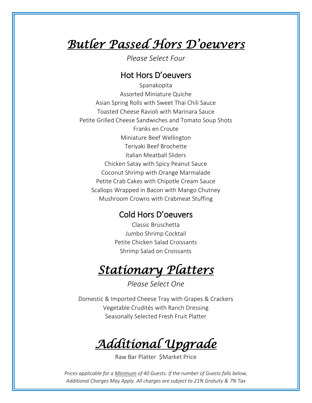# *Butler Passed Hors D'oeuvers*

*Please Select Four*

### Hot Hors D'oeuvers

Spanakopita Assorted Miniature Quiche Asian Spring Rolls with Sweet Thai Chili Sauce Toasted Cheese Ravioli with Marinara Sauce Petite Grilled Cheese Sandwiches and Tomato Soup Shots Franks en Croute Miniature Beef Wellington Teriyaki Beef Brochette Italian Meatball Sliders Chicken Satay with Spicy Peanut Sauce Coconut Shrimp with Orange Marmalade Petite Crab Cakes with Chipotle Cream Sauce Scallops Wrapped in Bacon with Mango Chutney Mushroom Crowns with Crabmeat Stuffing

### Cold Hors D'oeuvers

Classic Bruschetta Jumbo Shrimp Cocktail Petite Chicken Salad Croissants Shrimp Salad on Croissants

# *Stationary Platters*

*Please Select One*

Domestic & Imported Cheese Tray with Grapes & Crackers Vegetable Crudités with Ranch Dressing Seasonally Selected Fresh Fruit Platter

*Additional Upgrade* 

Raw Bar Platter \$Market Price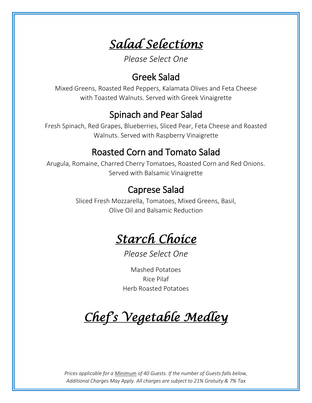*Salad Selections* 

*Please Select One*

## Greek Salad

Mixed Greens, Roasted Red Peppers, Kalamata Olives and Feta Cheese with Toasted Walnuts. Served with Greek Vinaigrette

## Spinach and Pear Salad

Fresh Spinach, Red Grapes, Blueberries, Sliced Pear, Feta Cheese and Roasted Walnuts. Served with Raspberry Vinaigrette

## Roasted Corn and Tomato Salad

Arugula, Romaine, Charred Cherry Tomatoes, Roasted Corn and Red Onions. Served with Balsamic Vinaigrette

## Caprese Salad

Sliced Fresh Mozzarella, Tomatoes, Mixed Greens, Basil, Olive Oil and Balsamic Reduction



*Please Select One*

Mashed Potatoes Rice Pilaf Herb Roasted Potatoes

*Chef's Vegetable Medley*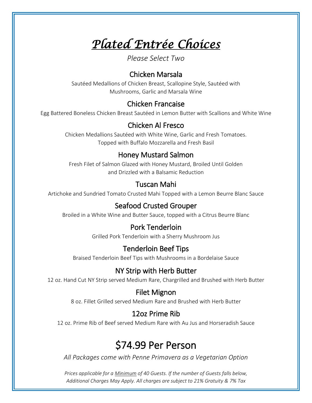*Plated Entrée Choices* 

*Please Select Two*

#### Chicken Marsala

Sautéed Medallions of Chicken Breast, Scallopine Style, Sautéed with Mushrooms, Garlic and Marsala Wine

### Chicken Francaise

Egg Battered Boneless Chicken Breast Sautéed in Lemon Butter with Scallions and White Wine

### Chicken Al Fresco

Chicken Medallions Sautéed with White Wine, Garlic and Fresh Tomatoes. Topped with Buffalo Mozzarella and Fresh Basil

## Honey Mustard Salmon

Fresh Filet of Salmon Glazed with Honey Mustard, Broiled Until Golden and Drizzled with a Balsamic Reduction

### Tuscan Mahi

Artichoke and Sundried Tomato Crusted Mahi Topped with a Lemon Beurre Blanc Sauce

## Seafood Crusted Grouper

Broiled in a White Wine and Butter Sauce, topped with a Citrus Beurre Blanc

### Pork Tenderloin

Grilled Pork Tenderloin with a Sherry Mushroom Jus

### Tenderloin Beef Tips

Braised Tenderloin Beef Tips with Mushrooms in a Bordelaise Sauce

## NY Strip with Herb Butter

12 oz. Hand Cut NY Strip served Medium Rare, Chargrilled and Brushed with Herb Butter

### Filet Mignon

8 oz. Fillet Grilled served Medium Rare and Brushed with Herb Butter

## 12oz Prime Rib

12 oz. Prime Rib of Beef served Medium Rare with Au Jus and Horseradish Sauce

# \$74.99 Per Person

*All Packages come with Penne Primavera as a Vegetarian Option*